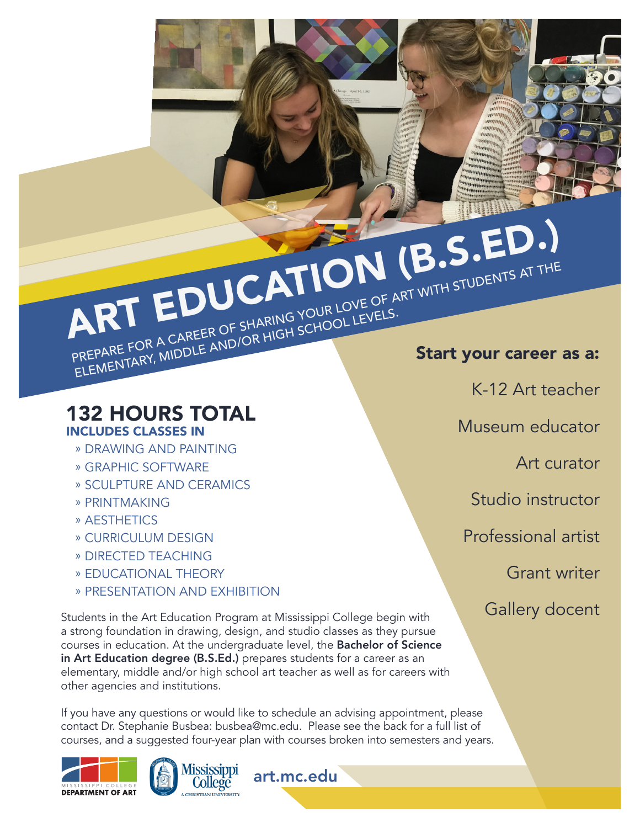PREPARE FOR A CAREER OF SHARING YOUR LOVE OF ART WITH STUDENTS AT THE PREPARE FOR A CAREER OF SHARING YOUR LOVE OF ART WITH STUDENTS AT THE ART EDUCATION (B.S.ED.) ELEMENTARY, MIDDLE AND/OR HIGH SCHOOL LEVELS.

### 132 HOURS TOTAL INCLUDES CLASSES IN

- » DRAWING AND PAINTING
- » GRAPHIC SOFTWARE
- » SCULPTURE AND CERAMICS
- » PRINTMAKING
- » AESTHETICS
- » CURRICULUM DESIGN
- » DIRECTED TEACHING
- » EDUCATIONAL THEORY
- » PRESENTATION AND EXHIBITION

Students in the Art Education Program at Mississippi College begin with a strong foundation in drawing, design, and studio classes as they pursue courses in education. At the undergraduate level, the Bachelor of Science in Art Education degree (B.S.Ed.) prepares students for a career as an elementary, middle and/or high school art teacher as well as for careers with other agencies and institutions.

If you have any questions or would like to schedule an advising appointment, please contact Dr. Stephanie Busbea: busbea@mc.edu. Please see the back for a full list of courses, and a suggested four-year plan with courses broken into semesters and years.

art.mc.edu





K-12 Art teacher

Museum educator

Art curator

Studio instructor

Professional artist

Grant writer

Gallery docent